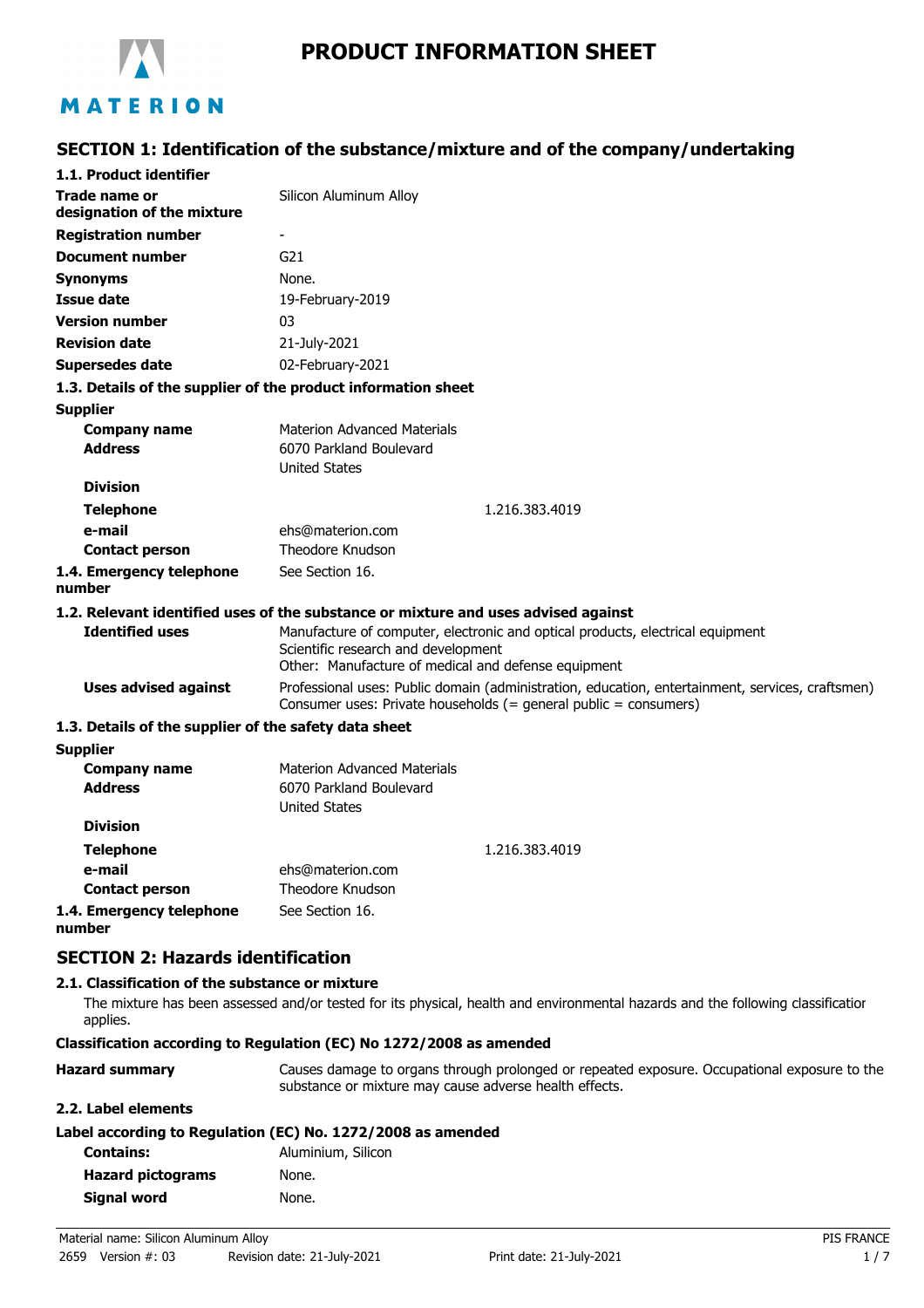

## **PRODUCT INFORMATION SHEET**

# **SECTION 1: Identification of the substance/mixture and of the company/undertaking**

| 1.1. Product identifier                                       |                                                                                                                                                                              |  |
|---------------------------------------------------------------|------------------------------------------------------------------------------------------------------------------------------------------------------------------------------|--|
| Trade name or                                                 | Silicon Aluminum Alloy                                                                                                                                                       |  |
| designation of the mixture                                    |                                                                                                                                                                              |  |
| <b>Registration number</b>                                    |                                                                                                                                                                              |  |
| <b>Document number</b>                                        | G <sub>21</sub>                                                                                                                                                              |  |
| <b>Synonyms</b>                                               | None.                                                                                                                                                                        |  |
| <b>Issue date</b>                                             | 19-February-2019                                                                                                                                                             |  |
| <b>Version number</b>                                         | 03                                                                                                                                                                           |  |
| <b>Revision date</b>                                          | 21-July-2021                                                                                                                                                                 |  |
| Supersedes date                                               | 02-February-2021                                                                                                                                                             |  |
| 1.3. Details of the supplier of the product information sheet |                                                                                                                                                                              |  |
| <b>Supplier</b>                                               |                                                                                                                                                                              |  |
| <b>Company name</b>                                           | <b>Materion Advanced Materials</b>                                                                                                                                           |  |
| <b>Address</b>                                                | 6070 Parkland Boulevard                                                                                                                                                      |  |
|                                                               | <b>United States</b>                                                                                                                                                         |  |
| <b>Division</b>                                               |                                                                                                                                                                              |  |
| <b>Telephone</b>                                              | 1.216.383.4019                                                                                                                                                               |  |
| e-mail                                                        | ehs@materion.com                                                                                                                                                             |  |
| <b>Contact person</b>                                         | <b>Theodore Knudson</b>                                                                                                                                                      |  |
| 1.4. Emergency telephone<br>number                            | See Section 16.                                                                                                                                                              |  |
|                                                               | 1.2. Relevant identified uses of the substance or mixture and uses advised against                                                                                           |  |
| <b>Identified uses</b>                                        | Manufacture of computer, electronic and optical products, electrical equipment<br>Scientific research and development<br>Other: Manufacture of medical and defense equipment |  |
| <b>Uses advised against</b>                                   | Professional uses: Public domain (administration, education, entertainment, services, craftsmen)<br>Consumer uses: Private households (= general public = consumers)         |  |
| 1.3. Details of the supplier of the safety data sheet         |                                                                                                                                                                              |  |
| <b>Supplier</b>                                               |                                                                                                                                                                              |  |
| <b>Company name</b>                                           | <b>Materion Advanced Materials</b>                                                                                                                                           |  |
| <b>Address</b>                                                | 6070 Parkland Boulevard<br><b>United States</b>                                                                                                                              |  |
| <b>Division</b>                                               |                                                                                                                                                                              |  |
| <b>Telephone</b>                                              | 1.216.383.4019                                                                                                                                                               |  |
| e-mail                                                        | ehs@materion.com                                                                                                                                                             |  |
| <b>Contact person</b>                                         | <b>Theodore Knudson</b>                                                                                                                                                      |  |
| 1.4. Emergency telephone<br>number                            | See Section 16.                                                                                                                                                              |  |

## **SECTION 2: Hazards identification**

### **2.1. Classification of the substance or mixture**

The mixture has been assessed and/or tested for its physical, health and environmental hazards and the following classification applies.

#### **Classification according to Regulation (EC) No 1272/2008 as amended**

| <b>Hazard summary</b> | Causes damage to organs through prolonged or repeated exposure. Occupational exposure to the |
|-----------------------|----------------------------------------------------------------------------------------------|
|                       | substance or mixture may cause adverse health effects.                                       |

#### **2.2. Label elements**

| Label according to Regulation (EC) No. 1272/2008 as amended |  |
|-------------------------------------------------------------|--|
|-------------------------------------------------------------|--|

| <b>Contains:</b>         | Aluminium, Silicon |
|--------------------------|--------------------|
| <b>Hazard pictograms</b> | None.              |
| Signal word              | None.              |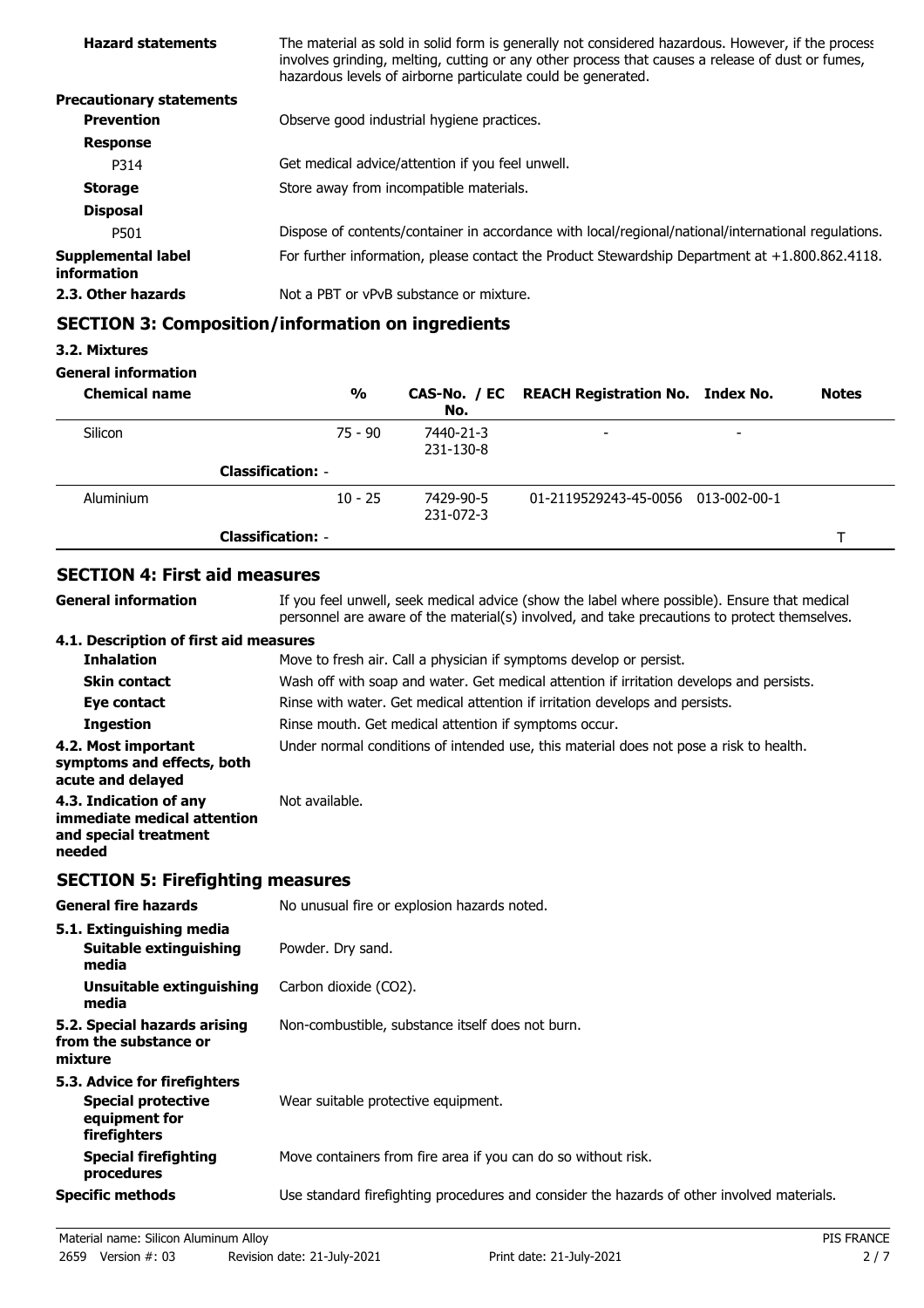| <b>Hazard statements</b>          | The material as sold in solid form is generally not considered hazardous. However, if the process<br>involves grinding, melting, cutting or any other process that causes a release of dust or fumes,<br>hazardous levels of airborne particulate could be generated. |
|-----------------------------------|-----------------------------------------------------------------------------------------------------------------------------------------------------------------------------------------------------------------------------------------------------------------------|
| <b>Precautionary statements</b>   |                                                                                                                                                                                                                                                                       |
| <b>Prevention</b>                 | Observe good industrial hygiene practices.                                                                                                                                                                                                                            |
| <b>Response</b>                   |                                                                                                                                                                                                                                                                       |
| P314                              | Get medical advice/attention if you feel unwell.                                                                                                                                                                                                                      |
| <b>Storage</b>                    | Store away from incompatible materials.                                                                                                                                                                                                                               |
| <b>Disposal</b>                   |                                                                                                                                                                                                                                                                       |
| P501                              | Dispose of contents/container in accordance with local/regional/national/international regulations.                                                                                                                                                                   |
| Supplemental label<br>information | For further information, please contact the Product Stewardship Department at $+1.800.862.4118$ .                                                                                                                                                                     |
| 2.3. Other hazards                | Not a PBT or vPvB substance or mixture.                                                                                                                                                                                                                               |
|                                   |                                                                                                                                                                                                                                                                       |

## **SECTION 3: Composition/information on ingredients**

## **3.2. Mixtures**

### **General information**

| <b>Chemical name</b> |                          | $\frac{0}{0}$ | No.                    | CAS-No. / EC REACH Registration No. Index No. |                          | <b>Notes</b> |
|----------------------|--------------------------|---------------|------------------------|-----------------------------------------------|--------------------------|--------------|
| Silicon              |                          | $75 - 90$     | 7440-21-3<br>231-130-8 |                                               | $\overline{\phantom{0}}$ |              |
|                      | <b>Classification: -</b> |               |                        |                                               |                          |              |
| Aluminium            |                          | $10 - 25$     | 7429-90-5<br>231-072-3 | 01-2119529243-45-0056 013-002-00-1            |                          |              |
|                      | <b>Classification: -</b> |               |                        |                                               |                          |              |

## **SECTION 4: First aid measures**

| General information                                                                      | If you feel unwell, seek medical advice (show the label where possible). Ensure that medical<br>personnel are aware of the material(s) involved, and take precautions to protect themselves. |
|------------------------------------------------------------------------------------------|----------------------------------------------------------------------------------------------------------------------------------------------------------------------------------------------|
| 4.1. Description of first aid measures                                                   |                                                                                                                                                                                              |
| <b>Inhalation</b>                                                                        | Move to fresh air. Call a physician if symptoms develop or persist.                                                                                                                          |
| <b>Skin contact</b>                                                                      | Wash off with soap and water. Get medical attention if irritation develops and persists.                                                                                                     |
| Eye contact                                                                              | Rinse with water. Get medical attention if irritation develops and persists.                                                                                                                 |
| <b>Ingestion</b>                                                                         | Rinse mouth. Get medical attention if symptoms occur.                                                                                                                                        |
| 4.2. Most important<br>symptoms and effects, both<br>acute and delayed                   | Under normal conditions of intended use, this material does not pose a risk to health.                                                                                                       |
| 4.3. Indication of any<br>immediate medical attention<br>and special treatment<br>needed | Not available.                                                                                                                                                                               |
|                                                                                          |                                                                                                                                                                                              |

## **SECTION 5: Firefighting measures**

| <b>General fire hazards</b>                                                                | No unusual fire or explosion hazards noted.                                                |
|--------------------------------------------------------------------------------------------|--------------------------------------------------------------------------------------------|
| 5.1. Extinguishing media<br>Suitable extinguishing<br>media                                | Powder. Dry sand.                                                                          |
| Unsuitable extinguishing<br>media                                                          | Carbon dioxide (CO2).                                                                      |
| 5.2. Special hazards arising<br>from the substance or<br>mixture                           | Non-combustible, substance itself does not burn.                                           |
| 5.3. Advice for firefighters<br><b>Special protective</b><br>equipment for<br>firefighters | Wear suitable protective equipment.                                                        |
| <b>Special firefighting</b><br>procedures                                                  | Move containers from fire area if you can do so without risk.                              |
| <b>Specific methods</b>                                                                    | Use standard firefighting procedures and consider the hazards of other involved materials. |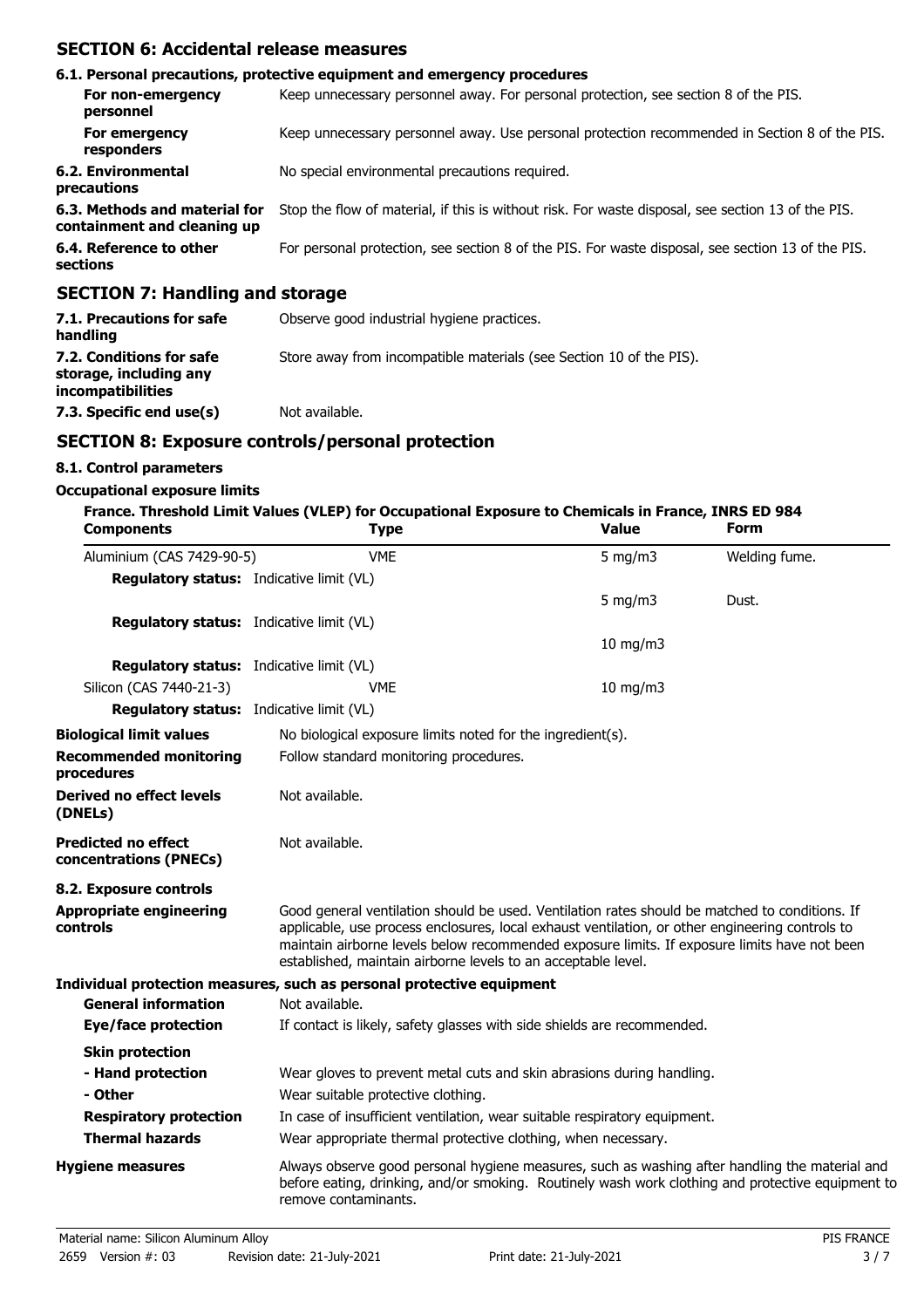## **SECTION 6: Accidental release measures**

|                                                              | 6.1. Personal precautions, protective equipment and emergency procedures                           |
|--------------------------------------------------------------|----------------------------------------------------------------------------------------------------|
| For non-emergency<br>personnel                               | Keep unnecessary personnel away. For personal protection, see section 8 of the PIS.                |
| For emergency<br>responders                                  | Keep unnecessary personnel away. Use personal protection recommended in Section 8 of the PIS.      |
| 6.2. Environmental<br>precautions                            | No special environmental precautions required.                                                     |
| 6.3. Methods and material for<br>containment and cleaning up | Stop the flow of material, if this is without risk. For waste disposal, see section 13 of the PIS. |
| 6.4. Reference to other<br>sections                          | For personal protection, see section 8 of the PIS. For waste disposal, see section 13 of the PIS.  |
| <b>SECTION 7: Handling and storage</b>                       |                                                                                                    |

## **7.1. Precautions for safe** Observe good industrial hygiene practices. **handling 7.2. Conditions for safe** Store away from incompatible materials (see Section 10 of the PIS). **storage, including any**

**7.3. Specific end use(s)** Not available.

## **SECTION 8: Exposure controls/personal protection**

## **8.1. Control parameters**

**incompatibilities**

## **Occupational exposure limits**

| <b>Components</b>                                    | France. Threshold Limit Values (VLEP) for Occupational Exposure to Chemicals in France, INRS ED 984<br><b>Type</b>                                                                                                                                                                                                                                                 | <b>Value</b>     | Form          |  |
|------------------------------------------------------|--------------------------------------------------------------------------------------------------------------------------------------------------------------------------------------------------------------------------------------------------------------------------------------------------------------------------------------------------------------------|------------------|---------------|--|
| Aluminium (CAS 7429-90-5)                            | <b>VME</b>                                                                                                                                                                                                                                                                                                                                                         | $5 \text{ mg/m}$ | Welding fume. |  |
| <b>Regulatory status:</b> Indicative limit (VL)      |                                                                                                                                                                                                                                                                                                                                                                    |                  |               |  |
|                                                      |                                                                                                                                                                                                                                                                                                                                                                    | 5 mg/m $3$       | Dust.         |  |
| <b>Regulatory status:</b> Indicative limit (VL)      |                                                                                                                                                                                                                                                                                                                                                                    |                  |               |  |
|                                                      |                                                                                                                                                                                                                                                                                                                                                                    | $10$ mg/m $3$    |               |  |
| <b>Regulatory status:</b> Indicative limit (VL)      |                                                                                                                                                                                                                                                                                                                                                                    |                  |               |  |
| Silicon (CAS 7440-21-3)                              | <b>VME</b>                                                                                                                                                                                                                                                                                                                                                         | 10 mg/m3         |               |  |
| <b>Regulatory status:</b> Indicative limit (VL)      |                                                                                                                                                                                                                                                                                                                                                                    |                  |               |  |
| <b>Biological limit values</b>                       | No biological exposure limits noted for the ingredient(s).                                                                                                                                                                                                                                                                                                         |                  |               |  |
| <b>Recommended monitoring</b><br>procedures          | Follow standard monitoring procedures.                                                                                                                                                                                                                                                                                                                             |                  |               |  |
| Derived no effect levels<br>(DNELs)                  | Not available.                                                                                                                                                                                                                                                                                                                                                     |                  |               |  |
| <b>Predicted no effect</b><br>concentrations (PNECs) | Not available.                                                                                                                                                                                                                                                                                                                                                     |                  |               |  |
| 8.2. Exposure controls                               |                                                                                                                                                                                                                                                                                                                                                                    |                  |               |  |
| <b>Appropriate engineering</b><br>controls           | Good general ventilation should be used. Ventilation rates should be matched to conditions. If<br>applicable, use process enclosures, local exhaust ventilation, or other engineering controls to<br>maintain airborne levels below recommended exposure limits. If exposure limits have not been<br>established, maintain airborne levels to an acceptable level. |                  |               |  |
|                                                      | Individual protection measures, such as personal protective equipment                                                                                                                                                                                                                                                                                              |                  |               |  |
| <b>General information</b>                           | Not available.                                                                                                                                                                                                                                                                                                                                                     |                  |               |  |
| Eye/face protection                                  | If contact is likely, safety glasses with side shields are recommended.                                                                                                                                                                                                                                                                                            |                  |               |  |
| <b>Skin protection</b>                               |                                                                                                                                                                                                                                                                                                                                                                    |                  |               |  |
| - Hand protection                                    | Wear gloves to prevent metal cuts and skin abrasions during handling.                                                                                                                                                                                                                                                                                              |                  |               |  |
| - Other                                              | Wear suitable protective clothing.                                                                                                                                                                                                                                                                                                                                 |                  |               |  |
| <b>Respiratory protection</b>                        | In case of insufficient ventilation, wear suitable respiratory equipment.                                                                                                                                                                                                                                                                                          |                  |               |  |
| <b>Thermal hazards</b>                               | Wear appropriate thermal protective clothing, when necessary.                                                                                                                                                                                                                                                                                                      |                  |               |  |
| <b>Hygiene measures</b>                              | Always observe good personal hygiene measures, such as washing after handling the material and<br>before eating, drinking, and/or smoking. Routinely wash work clothing and protective equipment to<br>remove contaminants.                                                                                                                                        |                  |               |  |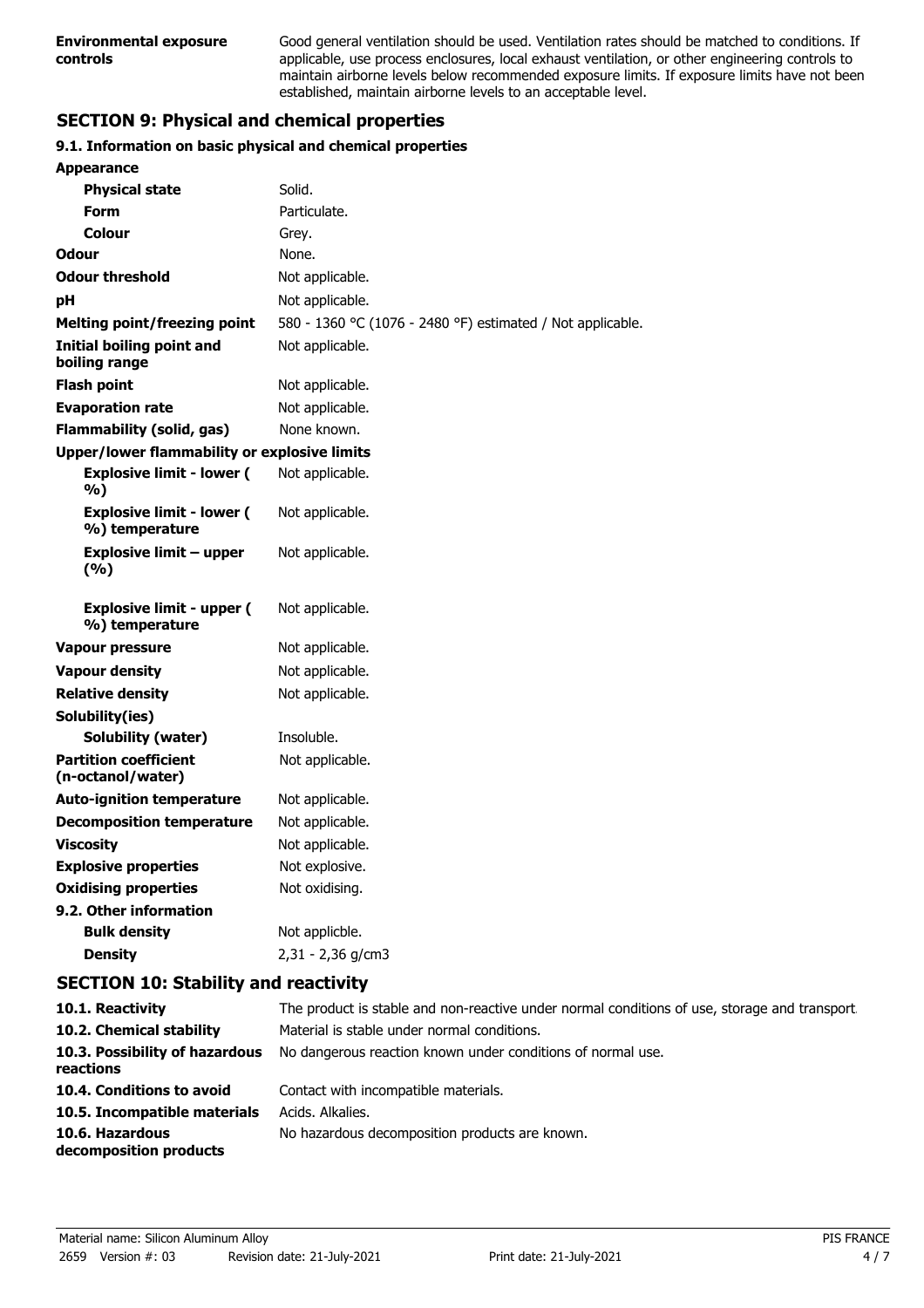Good general ventilation should be used. Ventilation rates should be matched to conditions. If applicable, use process enclosures, local exhaust ventilation, or other engineering controls to maintain airborne levels below recommended exposure limits. If exposure limits have not been established, maintain airborne levels to an acceptable level.

## **SECTION 9: Physical and chemical properties**

### **9.1. Information on basic physical and chemical properties**

| <b>Appearance</b>                                  |                                                                       |  |  |
|----------------------------------------------------|-----------------------------------------------------------------------|--|--|
| <b>Physical state</b>                              | Solid.                                                                |  |  |
| <b>Form</b>                                        | Particulate.                                                          |  |  |
| Colour                                             | Grey.                                                                 |  |  |
| <b>Odour</b>                                       | None.                                                                 |  |  |
| <b>Odour threshold</b>                             | Not applicable.                                                       |  |  |
| pH                                                 | Not applicable.                                                       |  |  |
| <b>Melting point/freezing point</b>                | 580 - 1360 °C (1076 - 2480 °F) estimated / Not applicable.            |  |  |
| Initial boiling point and<br>boiling range         | Not applicable.                                                       |  |  |
| <b>Flash point</b>                                 | Not applicable.                                                       |  |  |
| <b>Evaporation rate</b>                            | Not applicable.                                                       |  |  |
| <b>Flammability (solid, gas)</b>                   | None known.                                                           |  |  |
| Upper/lower flammability or explosive limits       |                                                                       |  |  |
| <b>Explosive limit - lower (</b><br>%)             | Not applicable.                                                       |  |  |
| <b>Explosive limit - lower (</b><br>%) temperature | Not applicable.                                                       |  |  |
| <b>Explosive limit - upper</b><br>(%)              | Not applicable.                                                       |  |  |
| <b>Explosive limit - upper (</b><br>%) temperature | Not applicable.                                                       |  |  |
| <b>Vapour pressure</b>                             | Not applicable.                                                       |  |  |
| <b>Vapour density</b>                              | Not applicable.                                                       |  |  |
| <b>Relative density</b>                            | Not applicable.                                                       |  |  |
| Solubility(ies)                                    |                                                                       |  |  |
| <b>Solubility (water)</b>                          | Insoluble.                                                            |  |  |
| <b>Partition coefficient</b><br>(n-octanol/water)  | Not applicable.                                                       |  |  |
| <b>Auto-ignition temperature</b>                   | Not applicable.                                                       |  |  |
| <b>Decomposition temperature</b>                   | Not applicable.                                                       |  |  |
| <b>Viscosity</b>                                   | Not applicable.                                                       |  |  |
| <b>Explosive properties</b>                        | Not explosive.                                                        |  |  |
| <b>Oxidising properties</b>                        | Not oxidising.                                                        |  |  |
| 9.2. Other information                             |                                                                       |  |  |
| <b>Bulk density</b>                                | Not applicble.                                                        |  |  |
| <b>Density</b>                                     | 2,31 - 2,36 g/cm3                                                     |  |  |
| <b>SECTION 10: Stability and reactivity</b>        |                                                                       |  |  |
| 10.1 Poactivity                                    | The product is stable and non-reactive under normal conditions of use |  |  |

| 10.1. Reactivity                            | The product is stable and non-reactive under normal conditions of use, storage and transport. |
|---------------------------------------------|-----------------------------------------------------------------------------------------------|
| 10.2. Chemical stability                    | Material is stable under normal conditions.                                                   |
| 10.3. Possibility of hazardous<br>reactions | No dangerous reaction known under conditions of normal use.                                   |
| 10.4. Conditions to avoid                   | Contact with incompatible materials.                                                          |
| 10.5. Incompatible materials                | Acids. Alkalies.                                                                              |
| 10.6. Hazardous<br>decomposition products   | No hazardous decomposition products are known.                                                |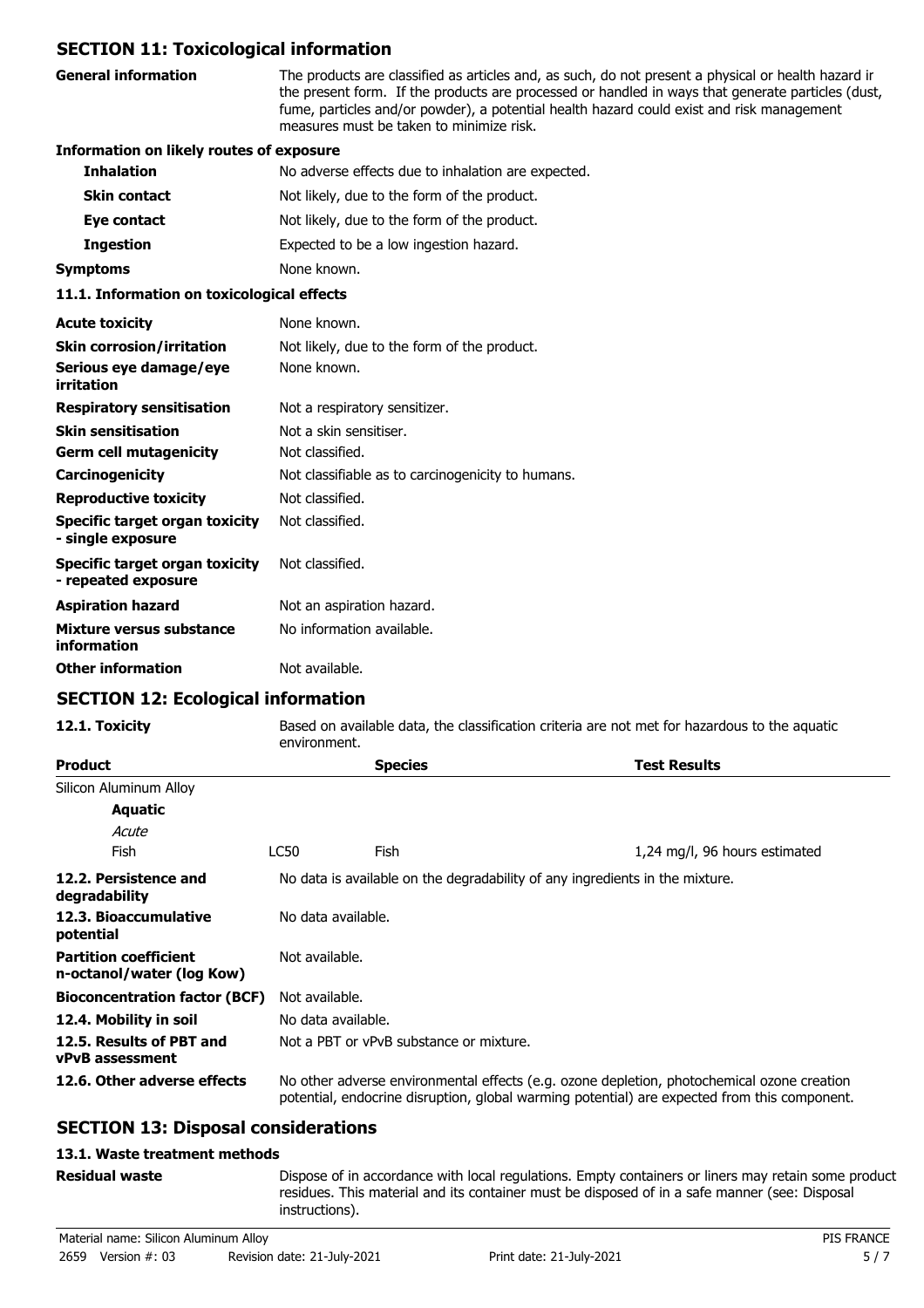## **SECTION 11: Toxicological information**

| <b>General information</b>                                 | The products are classified as articles and, as such, do not present a physical or health hazard ir<br>the present form. If the products are processed or handled in ways that generate particles (dust,<br>fume, particles and/or powder), a potential health hazard could exist and risk management<br>measures must be taken to minimize risk. |  |
|------------------------------------------------------------|---------------------------------------------------------------------------------------------------------------------------------------------------------------------------------------------------------------------------------------------------------------------------------------------------------------------------------------------------|--|
| <b>Information on likely routes of exposure</b>            |                                                                                                                                                                                                                                                                                                                                                   |  |
| <b>Inhalation</b>                                          | No adverse effects due to inhalation are expected.                                                                                                                                                                                                                                                                                                |  |
| <b>Skin contact</b>                                        | Not likely, due to the form of the product.                                                                                                                                                                                                                                                                                                       |  |
| Eye contact                                                | Not likely, due to the form of the product.                                                                                                                                                                                                                                                                                                       |  |
| <b>Ingestion</b>                                           | Expected to be a low ingestion hazard.                                                                                                                                                                                                                                                                                                            |  |
| Symptoms                                                   | None known.                                                                                                                                                                                                                                                                                                                                       |  |
| 11.1. Information on toxicological effects                 |                                                                                                                                                                                                                                                                                                                                                   |  |
| <b>Acute toxicity</b>                                      | None known.                                                                                                                                                                                                                                                                                                                                       |  |
| <b>Skin corrosion/irritation</b>                           | Not likely, due to the form of the product.                                                                                                                                                                                                                                                                                                       |  |
| Serious eye damage/eye<br>irritation                       | None known.                                                                                                                                                                                                                                                                                                                                       |  |
| <b>Respiratory sensitisation</b>                           | Not a respiratory sensitizer.                                                                                                                                                                                                                                                                                                                     |  |
| <b>Skin sensitisation</b>                                  | Not a skin sensitiser.                                                                                                                                                                                                                                                                                                                            |  |
| <b>Germ cell mutagenicity</b>                              | Not classified.                                                                                                                                                                                                                                                                                                                                   |  |
| <b>Carcinogenicity</b>                                     | Not classifiable as to carcinogenicity to humans.                                                                                                                                                                                                                                                                                                 |  |
| <b>Reproductive toxicity</b>                               | Not classified.                                                                                                                                                                                                                                                                                                                                   |  |
| <b>Specific target organ toxicity</b><br>- single exposure | Not classified.                                                                                                                                                                                                                                                                                                                                   |  |
| Specific target organ toxicity<br>- repeated exposure      | Not classified.                                                                                                                                                                                                                                                                                                                                   |  |

| - repeated exposure                     |                           |
|-----------------------------------------|---------------------------|
| <b>Aspiration hazard</b>                | Not an aspiration hazard. |
| Mixture versus substance<br>information | No information available. |
| <b>Other information</b>                | Not available.            |

## **SECTION 12: Ecological information**

**12.1. Toxicity** Based on available data, the classification criteria are not met for hazardous to the aquatic

|                                                           | environment.                                                                 |                    |                                                                                                                                                                                            |  |
|-----------------------------------------------------------|------------------------------------------------------------------------------|--------------------|--------------------------------------------------------------------------------------------------------------------------------------------------------------------------------------------|--|
| <b>Product</b>                                            |                                                                              | <b>Species</b>     | <b>Test Results</b>                                                                                                                                                                        |  |
| Silicon Aluminum Alloy                                    |                                                                              |                    |                                                                                                                                                                                            |  |
| Aquatic                                                   |                                                                              |                    |                                                                                                                                                                                            |  |
| Acute                                                     |                                                                              |                    |                                                                                                                                                                                            |  |
| Fish                                                      | LC50                                                                         | Fish.              | 1,24 mg/l, 96 hours estimated                                                                                                                                                              |  |
| 12.2. Persistence and<br>degradability                    | No data is available on the degradability of any ingredients in the mixture. |                    |                                                                                                                                                                                            |  |
| 12.3. Bioaccumulative<br>potential                        | No data available.                                                           |                    |                                                                                                                                                                                            |  |
| <b>Partition coefficient</b><br>n-octanol/water (log Kow) | Not available.                                                               |                    |                                                                                                                                                                                            |  |
| <b>Bioconcentration factor (BCF)</b>                      | Not available.                                                               |                    |                                                                                                                                                                                            |  |
| 12.4. Mobility in soil                                    |                                                                              | No data available. |                                                                                                                                                                                            |  |
| 12.5. Results of PBT and<br><b>vPvB</b> assessment        | Not a PBT or vPvB substance or mixture.                                      |                    |                                                                                                                                                                                            |  |
| 12.6. Other adverse effects                               |                                                                              |                    | No other adverse environmental effects (e.g. ozone depletion, photochemical ozone creation<br>potential, endocrine disruption, global warming potential) are expected from this component. |  |

## **SECTION 13: Disposal considerations**

### **13.1. Waste treatment methods**

#### **Residual waste**

Dispose of in accordance with local regulations. Empty containers or liners may retain some product residues. This material and its container must be disposed of in a safe manner (see: Disposal instructions).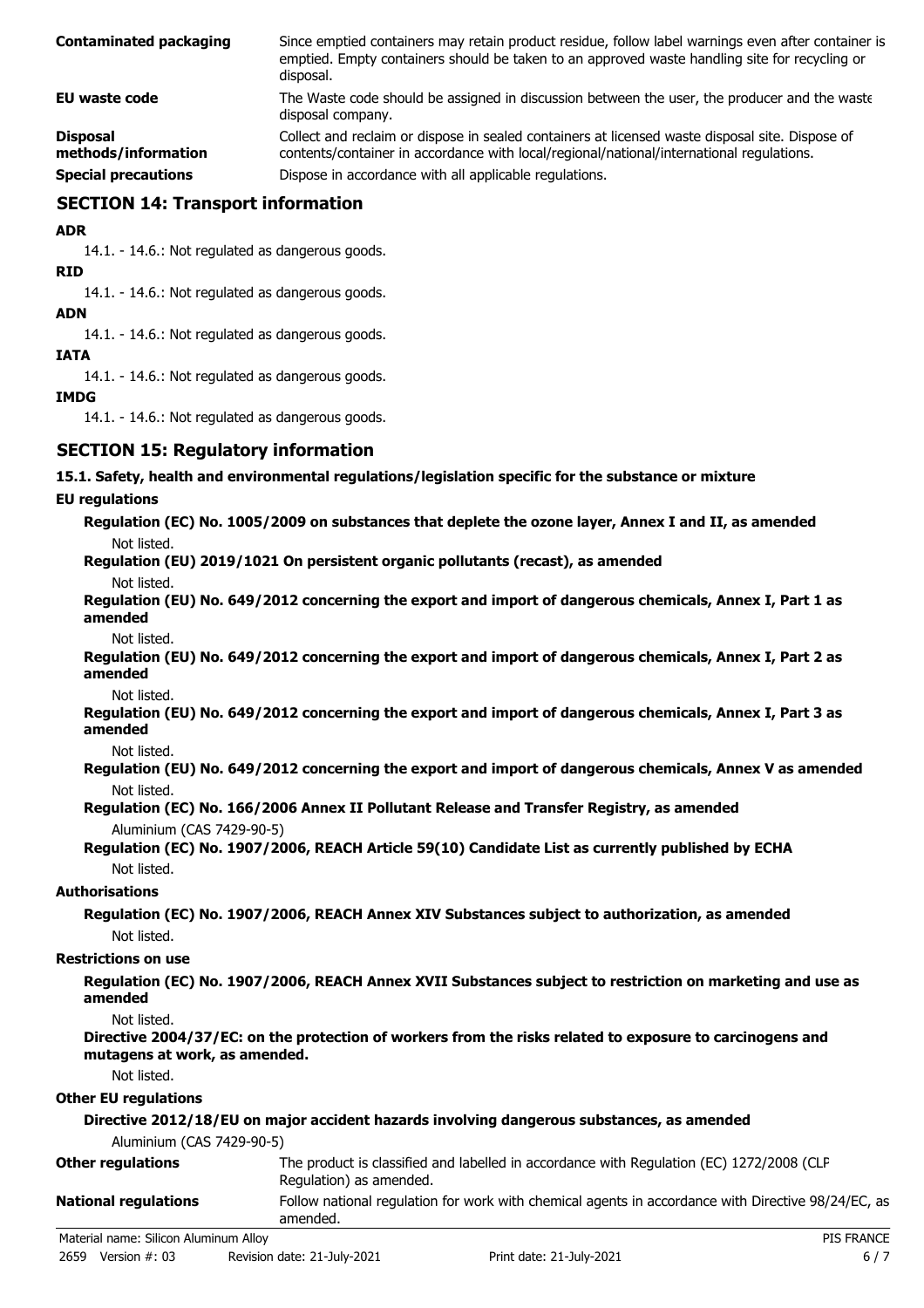| <b>Contaminated packaging</b>          | Since emptied containers may retain product residue, follow label warnings even after container is<br>emptied. Empty containers should be taken to an approved waste handling site for recycling or<br>disposal. |
|----------------------------------------|------------------------------------------------------------------------------------------------------------------------------------------------------------------------------------------------------------------|
| EU waste code                          | The Waste code should be assigned in discussion between the user, the producer and the waste<br>disposal company.                                                                                                |
| <b>Disposal</b><br>methods/information | Collect and reclaim or dispose in sealed containers at licensed waste disposal site. Dispose of<br>contents/container in accordance with local/regional/national/international regulations.                      |
| <b>Special precautions</b>             | Dispose in accordance with all applicable regulations.                                                                                                                                                           |

## **SECTION 14: Transport information**

**ADR**

14.1. - 14.6.: Not regulated as dangerous goods.

**RID**

14.1. - 14.6.: Not regulated as dangerous goods.

**ADN**

14.1. - 14.6.: Not regulated as dangerous goods.

#### **IATA**

14.1. - 14.6.: Not regulated as dangerous goods.

### **IMDG**

14.1. - 14.6.: Not regulated as dangerous goods.

## **SECTION 15: Regulatory information**

#### **15.1. Safety, health and environmental regulations/legislation specific for the substance or mixture**

#### **EU regulations**

**Regulation (EC) No. 1005/2009 on substances that deplete the ozone layer, Annex I and II, as amended** Not listed.

**Regulation (EU) 2019/1021 On persistent organic pollutants (recast), as amended**

Not listed.

**Regulation (EU) No. 649/2012 concerning the export and import of dangerous chemicals, Annex I, Part 1 as amended**

Not listed.

**Regulation (EU) No. 649/2012 concerning the export and import of dangerous chemicals, Annex I, Part 2 as amended**

Not listed.

**Regulation (EU) No. 649/2012 concerning the export and import of dangerous chemicals, Annex I, Part 3 as amended**

Not listed.

- **Regulation (EU) No. 649/2012 concerning the export and import of dangerous chemicals, Annex V as amended** Not listed.
- **Regulation (EC) No. 166/2006 Annex II Pollutant Release and Transfer Registry, as amended** Aluminium (CAS 7429-90-5)

### **Regulation (EC) No. 1907/2006, REACH Article 59(10) Candidate List as currently published by ECHA** Not listed.

### **Authorisations**

**Regulation (EC) No. 1907/2006, REACH Annex XIV Substances subject to authorization, as amended** Not listed.

#### **Restrictions on use**

**Regulation (EC) No. 1907/2006, REACH Annex XVII Substances subject to restriction on marketing and use as amended**

Not listed.

**Directive 2004/37/EC: on the protection of workers from the risks related to exposure to carcinogens and mutagens at work, as amended.**

Not listed.

### **Other EU regulations**

|                                       | Directive 2012/18/EU on major accident hazards involving dangerous substances, as amended                           |
|---------------------------------------|---------------------------------------------------------------------------------------------------------------------|
| Aluminium (CAS 7429-90-5)             |                                                                                                                     |
| <b>Other regulations</b>              | The product is classified and labelled in accordance with Regulation (EC) 1272/2008 (CLP<br>Regulation) as amended. |
| <b>National regulations</b>           | Follow national requlation for work with chemical agents in accordance with Directive 98/24/EC, as<br>amended.      |
| Material name: Silicon Aluminum Alloy | <b>PIS FRANCE</b>                                                                                                   |